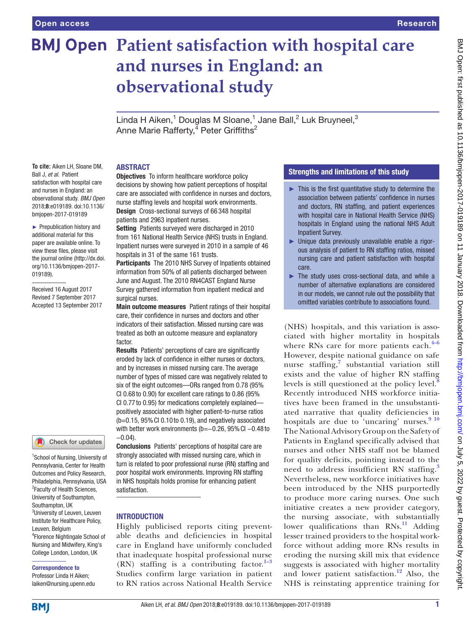# **BMJ Open Patient satisfaction with hospital care and nurses in England: an observational study**

Linda H Aiken, $^1$  Douglas M Sloane, $^1$  Jane Ball, $^2$  Luk Bruyneel, $^3$ Anne Marie Rafferty, $^{\bar{4}}$  Peter Griffiths $^2$ 

## **ABSTRACT**

**To cite:** Aiken LH, Sloane DM, Ball J, *et al*. Patient satisfaction with hospital care and nurses in England: an observational study. *BMJ Open* 2018;8:e019189. doi:10.1136/ bmjopen-2017-019189

► Prepublication history and additional material for this paper are available online. To view these files, please visit the journal online (http://dx.doi. org/10.1136/bmjopen-2017- 019189).

Received 16 August 2017 Revised 7 September 2017 Accepted 13 September 2017

#### Check for updates

<sup>1</sup>School of Nursing, University of Pennsylvania, Center for Health Outcomes and Policy Research, Philadelphia, Pennsylvania, USA <sup>2</sup> Faculty of Health Sciences, University of Southampton, Southampton, UK <sup>3</sup>University of Leuven, Leuven Institute for Healthcare Policy, Leuven, Belgium 4 Florence Nightingale School of Nursing and Midwifery, King's College London, London, UK

#### Correspondence to

Professor Linda H Aiken; laiken@nursing.upenn.edu **Objectives** To inform healthcare workforce policy decisions by showing how patient perceptions of hospital care are associated with confidence in nurses and doctors, nurse staffing levels and hospital work environments. Design Cross-sectional surveys of 66 348 hospital patients and 2963 inpatient nurses.

Setting Patients surveyed were discharged in 2010 from 161 National Health Service (NHS) trusts in England. Inpatient nurses were surveyed in 2010 in a sample of 46 hospitals in 31 of the same 161 trusts.

Participants The 2010 NHS Survey of Inpatients obtained information from 50% of all patients discharged between June and August. The 2010 RN4CAST England Nurse Survey gathered information from inpatient medical and surgical nurses.

Main outcome measures Patient ratings of their hospital care, their confidence in nurses and doctors and other indicators of their satisfaction. Missed nursing care was treated as both an outcome measure and explanatory factor.

Results Patients' perceptions of care are significantly eroded by lack of confidence in either nurses or doctors, and by increases in missed nursing care. The average number of types of missed care was negatively related to six of the eight outcomes—ORs ranged from 0.78 (95% CI 0.68 to 0.90) for excellent care ratings to 0.86 (95% CI 0.77 to 0.95) for medications completely explained positively associated with higher patient-to-nurse ratios  $(b=0.15, 95\%$  CI 0.10 to 0.19), and negatively associated with better work environments (b=−0.26, 95% CI -0.48 to −0.04).

Conclusions Patients' perceptions of hospital care are strongly associated with missed nursing care, which in turn is related to poor professional nurse (RN) staffing and poor hospital work environments. Improving RN staffing in NHS hospitals holds promise for enhancing patient satisfaction.

## **INTRODUCTION**

Highly publicised reports citing preventable deaths and deficiencies in hospital care in England have uniformly concluded that inadequate hospital professional nurse (RN) staffing is a contributing factor.<sup>[1–3](#page-6-0)</sup> Studies confirm large variation in patient to RN ratios across National Health Service

# Strengths and limitations of this study

- $\blacktriangleright$  This is the first quantitative study to determine the association between patients' confidence in nurses and doctors, RN staffing, and patient experiences with hospital care in National Health Service (NHS) hospitals in England using the national NHS Adult Inpatient Survey.
- ► Unique data previously unavailable enable a rigorous analysis of patient to RN staffing ratios, missed nursing care and patient satisfaction with hospital care.
- ► The study uses cross-sectional data, and while a number of alternative explanations are considered in our models, we cannot rule out the possibility that omitted variables contribute to associations found.

(NHS) hospitals, and this variation is associated with higher mortality in hospitals where RNs care for more patients each. $4-6$ However, despite national guidance on safe nurse staffing,<sup>[7](#page-6-2)</sup> substantial variation still exists and the value of higher RN staffing levels is still questioned at the policy level. $\frac{8}{3}$  $\frac{8}{3}$  $\frac{8}{3}$ Recently introduced NHS workforce initiatives have been framed in the unsubstantiated narrative that quality deficiencies in hospitals are due to 'uncaring' nurses.<sup>[9 10](#page-6-4)</sup> The National Advisory Group on the Safety of Patients in England specifically advised that nurses and other NHS staff not be blamed for quality deficits, pointing instead to the need to address insufficient RN staffing.<sup>[3](#page-6-5)</sup> Nevertheless, new workforce initiatives have been introduced by the NHS purportedly to produce more caring nurses. One such initiative creates a new provider category, the nursing associate, with substantially lower qualifications than RNs.<sup>[11](#page-6-6)</sup> Adding lesser trained providers to the hospital workforce without adding more RNs results in eroding the nursing skill mix that evidence suggests is associated with higher mortality and lower patient satisfaction.<sup>12</sup> Also, the NHS is reinstating apprentice training for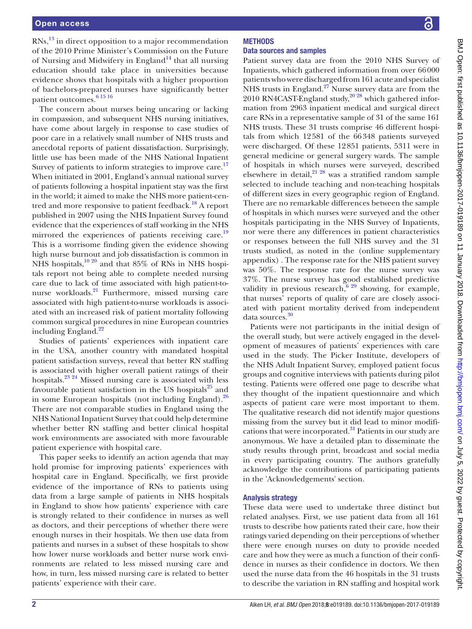$RNs$ ,  $^{13}$  in direct opposition to a major recommendation of the 2010 Prime Minister's Commission on the Future of Nursing and Midwifery in England<sup>[14](#page-6-9)</sup> that all nursing education should take place in universities because evidence shows that hospitals with a higher proportion of bachelors-prepared nurses have significantly better patient outcomes.<sup>[6 15 16](#page-6-10)</sup>

The concern about nurses being uncaring or lacking in compassion, and subsequent NHS nursing initiatives, have come about largely in response to case studies of poor care in a relatively small number of NHS trusts and anecdotal reports of patient dissatisfaction. Surprisingly, little use has been made of the NHS National Inpatient Survey of patients to inform strategies to improve care.<sup>[17](#page-7-0)</sup> When initiated in 2001, England's annual national survey of patients following a hospital inpatient stay was the first in the world; it aimed to make the NHS more patient-centred and more responsive to patient feedback.<sup>18</sup> A report published in 2007 using the NHS Inpatient Survey found evidence that the experiences of staff working in the NHS mirrored the experiences of patients receiving care.<sup>19</sup> This is a worrisome finding given the evidence showing high nurse burnout and job dissatisfaction is common in NHS hospitals,  $^{10\ 20}$  and that 85% of RNs in NHS hospitals report not being able to complete needed nursing care due to lack of time associated with high patient-tonurse workloads[.21](#page-7-3) Furthermore, missed nursing care associated with high patient-to-nurse workloads is associated with an increased risk of patient mortality following common surgical procedures in nine European countries including England.<sup>22</sup>

Studies of patients' experiences with inpatient care in the USA, another country with mandated hospital patient satisfaction surveys, reveal that better RN staffing is associated with higher overall patient ratings of their hospitals.<sup>23 24</sup> Missed nursing care is associated with less favourable patient satisfaction in the US hospitals $^{25}$  and in some European hospitals (not including England). $^{26}$ There are not comparable studies in England using the NHS National Inpatient Survey that could help determine whether better RN staffing and better clinical hospital work environments are associated with more favourable patient experience with hospital care.

This paper seeks to identify an action agenda that may hold promise for improving patients' experiences with hospital care in England. Specifically, we first provide evidence of the importance of RNs to patients using data from a large sample of patients in NHS hospitals in England to show how patients' experience with care is strongly related to their confidence in nurses as well as doctors, and their perceptions of whether there were enough nurses in their hospitals. We then use data from patients and nurses in a subset of these hospitals to show how lower nurse workloads and better nurse work environments are related to less missed nursing care and how, in turn, less missed nursing care is related to better patients' experience with their care.

## **METHODS** Data sources and samples

Patient survey data are from the 2010 NHS Survey of Inpatients, which gathered information from over 66000 patients who were discharged from 161 acute and specialist NHS trusts in England. $27$  Nurse survey data are from the 2010 RN4CAST-England study,<sup>[20 28](#page-7-9)</sup> which gathered information from 2963 inpatient medical and surgical direct care RNs in a representative sample of 31 of the same 161 NHS trusts. These 31 trusts comprise 46 different hospitals from which 12581 of the 66348 patients surveyed were discharged. Of these 12851 patients, 5311 were in general medicine or general surgery wards. The sample of hospitals in which nurses were surveyed, described elsewhere in detail, $21 \frac{28}{1}$  was a stratified random sample selected to include teaching and non-teaching hospitals of different sizes in every geographic region of England. There are no remarkable differences between the sample of hospitals in which nurses were surveyed and the other hospitals participating in the NHS Survey of Inpatients, nor were there any differences in patient characteristics or responses between the full NHS survey and the 31 trusts studied, as noted in the (online [supplementary](https://dx.doi.org/10.1136/bmjopen-2017-019189)  [appendix](https://dx.doi.org/10.1136/bmjopen-2017-019189)) . The response rate for the NHS patient survey was 50%. The response rate for the nurse survey was 37%. The nurse survey has good established predictive validity in previous research, $6^{8}$  29 showing, for example, that nurses' reports of quality of care are closely associated with patient mortality derived from independent data sources.<sup>[30](#page-7-10)</sup>

Patients were not participants in the initial design of the overall study, but were actively engaged in the development of measures of patients' experiences with care used in the study. The Picker Institute, developers of the NHS Adult Inpatient Survey, employed patient focus groups and cognitive interviews with patients during pilot testing. Patients were offered one page to describe what they thought of the inpatient questionnaire and which aspects of patient care were most important to them. The qualitative research did not identify major questions missing from the survey but it did lead to minor modifications that were incorporated.<sup>31</sup> Patients in our study are anonymous. We have a detailed plan to disseminate the study results through print, broadcast and social media in every participating country. The authors gratefully acknowledge the contributions of participating patients in the 'Acknowledgements' section.

# Analysis strategy

These data were used to undertake three distinct but related analyses. First, we use patient data from all 161 trusts to describe how patients rated their care, how their ratings varied depending on their perceptions of whether there were enough nurses on duty to provide needed care and how they were as much a function of their confidence in nurses as their confidence in doctors. We then used the nurse data from the 46 hospitals in the 31 trusts to describe the variation in RN staffing and hospital work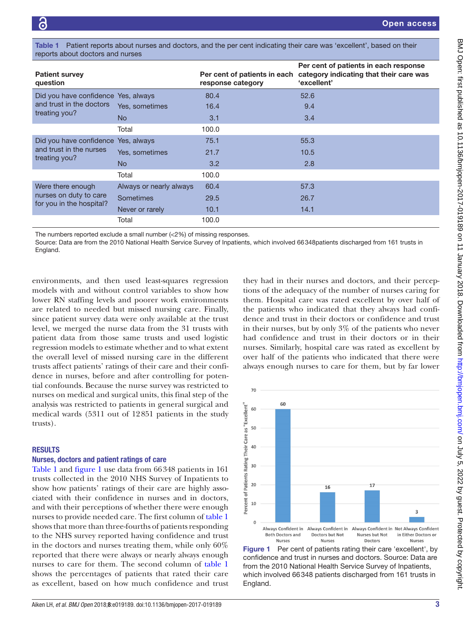<span id="page-2-0"></span>Table 1 Patient reports about nurses and doctors, and the per cent indicating their care was 'excellent', based on their reports about doctors and nurses

| <b>Patient survey</b><br>question                                                |                         | Per cent of patients in each<br>response category | Per cent of patients in each response<br>category indicating that their care was<br>'excellent' |
|----------------------------------------------------------------------------------|-------------------------|---------------------------------------------------|-------------------------------------------------------------------------------------------------|
| Did you have confidence Yes, always<br>and trust in the doctors<br>treating you? |                         | 80.4                                              | 52.6                                                                                            |
|                                                                                  | Yes, sometimes          | 16.4                                              | 9.4                                                                                             |
|                                                                                  | <b>No</b>               | 3.1                                               | 3.4                                                                                             |
|                                                                                  | Total                   | 100.0                                             |                                                                                                 |
| Did you have confidence Yes, always<br>and trust in the nurses<br>treating you?  |                         | 75.1                                              | 55.3                                                                                            |
|                                                                                  | Yes, sometimes          | 21.7                                              | 10.5                                                                                            |
|                                                                                  | <b>No</b>               | 3.2                                               | 2.8                                                                                             |
|                                                                                  | Total                   | 100.0                                             |                                                                                                 |
| Were there enough<br>nurses on duty to care<br>for you in the hospital?          | Always or nearly always | 60.4                                              | 57.3                                                                                            |
|                                                                                  | <b>Sometimes</b>        | 29.5                                              | 26.7                                                                                            |
|                                                                                  | Never or rarely         | 10.1                                              | 14.1                                                                                            |
|                                                                                  | Total                   | 100.0                                             |                                                                                                 |

The numbers reported exclude a small number (<2%) of missing responses.

Source: Data are from the 2010 National Health Service Survey of Inpatients, which involved 66348patients discharged from 161 trusts in England.

environments, and then used least-squares regression models with and without control variables to show how lower RN staffing levels and poorer work environments are related to needed but missed nursing care. Finally, since patient survey data were only available at the trust level, we merged the nurse data from the 31 trusts with patient data from those same trusts and used logistic regression models to estimate whether and to what extent the overall level of missed nursing care in the different trusts affect patients' ratings of their care and their confidence in nurses, before and after controlling for potential confounds. Because the nurse survey was restricted to nurses on medical and surgical units, this final step of the analysis was restricted to patients in general surgical and medical wards (5311 out of 12851 patients in the study trusts).

# **RESULTS**

## Nurses, doctors and patient ratings of care

[Table](#page-2-0) 1 and [figure](#page-2-1) 1 use data from 66348 patients in 161 trusts collected in the 2010 NHS Survey of Inpatients to show how patients' ratings of their care are highly associated with their confidence in nurses and in doctors, and with their perceptions of whether there were enough nurses to provide needed care. The first column of [table](#page-2-0) 1 shows that more than three-fourths of patients responding to the NHS survey reported having confidence and trust in the doctors and nurses treating them, while only 60% reported that there were always or nearly always enough nurses to care for them. The second column of [table](#page-2-0) 1 shows the percentages of patients that rated their care as excellent, based on how much confidence and trust

they had in their nurses and doctors, and their perceptions of the adequacy of the number of nurses caring for them. Hospital care was rated excellent by over half of the patients who indicated that they always had confidence and trust in their doctors or confidence and trust in their nurses, but by only 3% of the patients who never had confidence and trust in their doctors or in their nurses. Similarly, hospital care was rated as excellent by over half of the patients who indicated that there were always enough nurses to care for them, but by far lower



<span id="page-2-1"></span>Figure 1 Per cent of patients rating their care 'excellent', by confidence and trust in nurses and doctors. Source: Data are from the 2010 National Health Service Survey of Inpatients, which involved 66348 patients discharged from 161 trusts in England.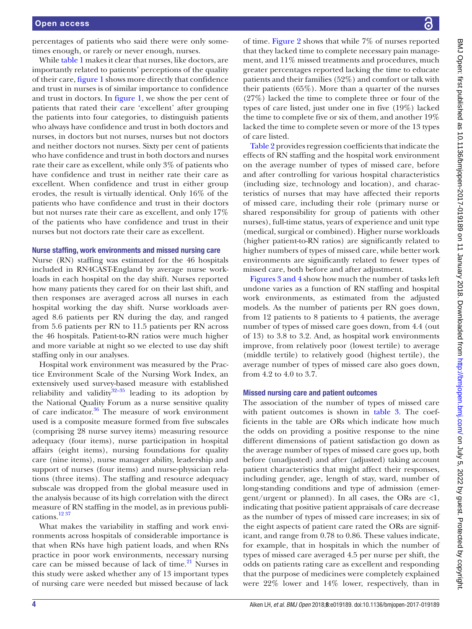percentages of patients who said there were only sometimes enough, or rarely or never enough, nurses.

While [table](#page-2-0) 1 makes it clear that nurses, like doctors, are importantly related to patients' perceptions of the quality of their care, [figure](#page-2-1) 1 shows more directly that confidence and trust in nurses is of similar importance to confidence and trust in doctors. In [figure](#page-2-1) 1, we show the per cent of patients that rated their care 'excellent' after grouping the patients into four categories, to distinguish patients who always have confidence and trust in both doctors and nurses, in doctors but not nurses, nurses but not doctors and neither doctors not nurses. Sixty per cent of patients who have confidence and trust in both doctors and nurses rate their care as excellent, while only 3% of patients who have confidence and trust in neither rate their care as excellent. When confidence and trust in either group erodes, the result is virtually identical. Only 16% of the patients who have confidence and trust in their doctors but not nurses rate their care as excellent, and only 17% of the patients who have confidence and trust in their nurses but not doctors rate their care as excellent.

#### Nurse staffing, work environments and missed nursing care

Nurse (RN) staffing was estimated for the 46 hospitals included in RN4CAST-England by average nurse workloads in each hospital on the day shift. Nurses reported how many patients they cared for on their last shift, and then responses are averaged across all nurses in each hospital working the day shift. Nurse workloads averaged 8.6 patients per RN during the day, and ranged from 5.6 patients per RN to 11.5 patients per RN across the 46 hospitals. Patient-to-RN ratios were much higher and more variable at night so we elected to use day shift staffing only in our analyses.

Hospital work environment was measured by the Practice Environment Scale of the Nursing Work Index, an extensively used survey-based measure with established reliability and validity $32-35$  leading to its adoption by the National Quality Forum as a nurse sensitive quality of care indicator. $36$  The measure of work environment used is a composite measure formed from five subscales (comprising 28 nurse survey items) measuring resource adequacy (four items), nurse participation in hospital affairs (eight items), nursing foundations for quality care (nine items), nurse manager ability, leadership and support of nurses (four items) and nurse-physician relations (three items). The staffing and resource adequacy subscale was dropped from the global measure used in the analysis because of its high correlation with the direct measure of RN staffing in the model, as in previous publications.[12 37](#page-6-7)

What makes the variability in staffing and work environments across hospitals of considerable importance is that when RNs have high patient loads, and when RNs practice in poor work environments, necessary nursing care can be missed because of lack of time. $21$  Nurses in this study were asked whether any of 13 important types of nursing care were needed but missed because of lack

of time. [Figure](#page-4-0) 2 shows that while 7% of nurses reported that they lacked time to complete necessary pain management, and 11% missed treatments and procedures, much greater percentages reported lacking the time to educate patients and their families (52%) and comfort or talk with their patients (65%). More than a quarter of the nurses (27%) lacked the time to complete three or four of the types of care listed, just under one in five (19%) lacked the time to complete five or six of them, and another 19% lacked the time to complete seven or more of the 13 types of care listed.

[Table](#page-4-1) 2 provides regression coefficients that indicate the effects of RN staffing and the hospital work environment on the average number of types of missed care, before and after controlling for various hospital characteristics (including size, technology and location), and characteristics of nurses that may have affected their reports of missed care, including their role (primary nurse or shared responsibility for group of patients with other nurses), full-time status, years of experience and unit type (medical, surgical or combined). Higher nurse workloads (higher patient-to-RN ratios) are significantly related to higher numbers of types of missed care, while better work environments are significantly related to fewer types of missed care, both before and after adjustment.

[Figures](#page-4-2) 3 and 4 show how much the number of tasks left undone varies as a function of RN staffing and hospital work environments, as estimated from the adjusted models. As the number of patients per RN goes down, from 12 patients to 8 patients to 4 patients, the average number of types of missed care goes down, from 4.4 (out of 13) to 3.8 to 3.2. And, as hospital work environments improve, from relatively poor (lowest tertile) to average (middle tertile) to relatively good (highest tertile), the average number of types of missed care also goes down, from 4.2 to 4.0 to 3.7.

## Missed nursing care and patient outcomes

The association of the number of types of missed care with patient outcomes is shown in [table](#page-5-0) 3. The coefficients in the table are ORs which indicate how much the odds on providing a positive response to the nine different dimensions of patient satisfaction go down as the average number of types of missed care goes up, both before (unadjusted) and after (adjusted) taking account patient characteristics that might affect their responses, including gender, age, length of stay, ward, number of long-standing conditions and type of admission (emergent/urgent or planned). In all cases, the ORs are  $\langle 1, \rangle$ indicating that positive patient appraisals of care decrease as the number of types of missed care increases; in six of the eight aspects of patient care rated the ORs are significant, and range from 0.78 to 0.86. These values indicate, for example, that in hospitals in which the number of types of missed care averaged 4.5 per nurse per shift, the odds on patients rating care as excellent and responding that the purpose of medicines were completely explained were 22% lower and 14% lower, respectively, than in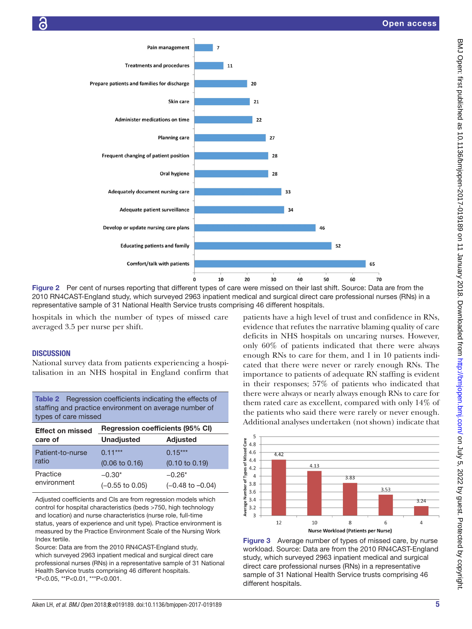

Figure 2 Per cent of nurses reporting that different types of care were missed on their last shift. Source: Data are from the 2010 RN4CAST-England study, which surveyed 2963 inpatient medical and surgical direct care professional nurses (RNs) in a representative sample of 31 National Health Service trusts comprising 46 different hospitals.

hospitals in which the number of types of missed care averaged 3.5 per nurse per shift.

## **DISCUSSION**

National survey data from patients experiencing a hospitalisation in an NHS hospital in England confirm that

<span id="page-4-1"></span>Table 2 Regression coefficients indicating the effects of staffing and practice environment on average number of types of care missed

| <b>Effect on missed</b> | <b>Regression coefficients (95% CI)</b> |                             |  |
|-------------------------|-----------------------------------------|-----------------------------|--|
| care of                 | <b>Unadjusted</b>                       | <b>Adjusted</b>             |  |
| Patient-to-nurse        | $0.11***$                               | $0.15***$                   |  |
| ratio                   | $(0.06 \text{ to } 0.16)$               | $(0.10 \text{ to } 0.19)$   |  |
| Practice                | $-0.30*$                                | $-0.26*$                    |  |
| environment             | $(-0.55$ to $0.05)$                     | $(-0.48 \text{ to } -0.04)$ |  |

Adjusted coefficients and CIs are from regression models which control for hospital characteristics (beds >750, high technology and location) and nurse characteristics (nurse role, full-time status, years of experience and unit type). Practice environment is measured by the Practice Environment Scale of the Nursing Work Index tertile.

Source: Data are from the 2010 RN4CAST-England study, which surveyed 2963 inpatient medical and surgical direct care professional nurses (RNs) in a representative sample of 31 National Health Service trusts comprising 46 different hospitals. \*P<0.05, \*\*P<0.01, \*\*\*P<0.001.

<span id="page-4-0"></span>patients have a high level of trust and confidence in RNs, evidence that refutes the narrative blaming quality of care deficits in NHS hospitals on uncaring nurses. However, only 60% of patients indicated that there were always enough RNs to care for them, and 1 in 10 patients indicated that there were never or rarely enough RNs. The importance to patients of adequate RN staffing is evident in their responses; 57% of patients who indicated that there were always or nearly always enough RNs to care for them rated care as excellent, compared with only 14% of the patients who said there were rarely or never enough. Additional analyses undertaken (not shown) indicate that



<span id="page-4-2"></span>Figure 3 Average number of types of missed care, by nurse workload. Source: Data are from the 2010 RN4CAST-England study, which surveyed 2963 inpatient medical and surgical direct care professional nurses (RNs) in a representative sample of 31 National Health Service trusts comprising 46 different hospitals.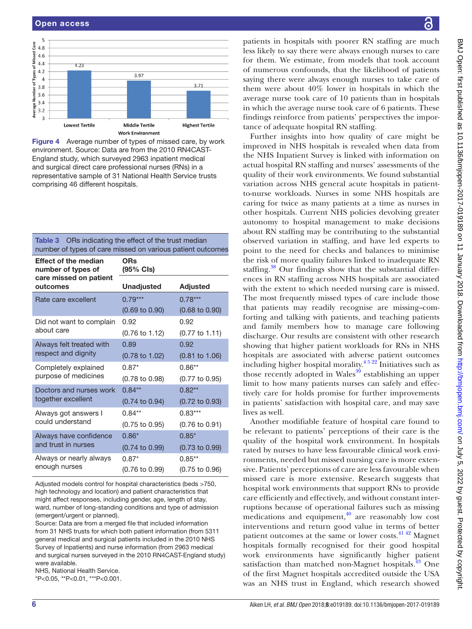

Figure 4 Average number of types of missed care, by work environment. Source: Data are from the 2010 RN4CAST-England study, which surveyed 2963 inpatient medical and surgical direct care professional nurses (RNs) in a representative sample of 31 National Health Service trusts comprising 46 different hospitals.

<span id="page-5-0"></span>

| <b>Table 3</b> ORs indicating the effect of the trust median |
|--------------------------------------------------------------|
| number of types of care missed on various patient outcomes   |

| <b>Effect of the median</b><br>number of types of | <b>ORs</b><br>(95% CIs)   |                           |  |
|---------------------------------------------------|---------------------------|---------------------------|--|
| care missed on patient<br>outcomes                | <b>Unadjusted</b>         | <b>Adjusted</b>           |  |
| Rate care excellent                               | $0.79***$                 | $0.78***$                 |  |
|                                                   | $(0.69 \text{ to } 0.90)$ | $(0.68 \text{ to } 0.90)$ |  |
| Did not want to complain                          | 0.92                      | 0.92                      |  |
| about care                                        | $(0.76 \text{ to } 1.12)$ | $(0.77 \text{ to } 1.11)$ |  |
| Always felt treated with                          | 0.89                      | 0.92                      |  |
| respect and dignity                               | $(0.78 \text{ to } 1.02)$ | $(0.81$ to 1.06)          |  |
| Completely explained                              | $0.87*$                   | $0.86**$                  |  |
| purpose of medicines                              | (0.78 to 0.98)            | (0.77 to 0.95)            |  |
| Doctors and nurses work                           | $0.84***$                 | $0.82***$                 |  |
| together excellent                                | $(0.74 \text{ to } 0.94)$ | $(0.72 \text{ to } 0.93)$ |  |
| Always got answers I                              | $0.84***$                 | $0.83***$                 |  |
| could understand                                  | $(0.75 \text{ to } 0.95)$ | (0.76 to 0.91)            |  |
| Always have confidence                            | $0.86*$                   | $0.85*$                   |  |
| and trust in nurses                               | $(0.74 \text{ to } 0.99)$ | $(0.73 \text{ to } 0.99)$ |  |
| Always or nearly always                           | $0.87*$                   | $0.85***$                 |  |
| enough nurses                                     | (0.76 to 0.99)            | (0.75 to 0.96)            |  |

Adjusted models control for hospital characteristics (beds >750, high technology and location) and patient characteristics that might affect responses, including gender, age, length of stay, ward, number of long-standing conditions and type of admission (emergent/urgent or planned).

Source: Data are from a merged file that included information from 31 NHS trusts for which both patient information (from 5311 general medical and surgical patients included in the 2010 NHS Survey of Inpatients) and nurse information (from 2963 medical and surgical nurses surveyed in the 2010 RN4CAST-England study) were available.

NHS, National Health Service.

\*P<0.05, \*\*P<0.01, \*\*\*P<0.001.

patients in hospitals with poorer RN staffing are much less likely to say there were always enough nurses to care for them. We estimate, from models that took account of numerous confounds, that the likelihood of patients saying there were always enough nurses to take care of them were about 40% lower in hospitals in which the average nurse took care of 10 patients than in hospitals in which the average nurse took care of 6 patients. These findings reinforce from patients' perspectives the importance of adequate hospital RN staffing.

Further insights into how quality of care might be improved in NHS hospitals is revealed when data from the NHS Inpatient Survey is linked with information on actual hospital RN staffing and nurses' assessments of the quality of their work environments. We found substantial variation across NHS general acute hospitals in patientto-nurse workloads. Nurses in some NHS hospitals are caring for twice as many patients at a time as nurses in other hospitals. Current NHS policies devolving greater autonomy to hospital management to make decisions about RN staffing may be contributing to the substantial observed variation in staffing, and have led experts to point to the need for checks and balances to minimise the risk of more quality failures linked to inadequate RN staffing. $38$  Our findings show that the substantial differences in RN staffing across NHS hospitals are associated with the extent to which needed nursing care is missed. The most frequently missed types of care include those that patients may readily recognise are missing--comforting and talking with patients, and teaching patients and family members how to manage care following discharge. Our results are consistent with other research showing that higher patient workloads for RNs in NHS hospitals are associated with adverse patient outcomes including higher hospital morality.[4 5 22](#page-6-1) Initiatives such as those recently adopted in Wales<sup>39</sup> establishing an upper limit to how many patients nurses can safely and effectively care for holds promise for further improvements in patients' satisfaction with hospital care, and may save lives as well.

Another modifiable feature of hospital care found to be relevant to patients' perceptions of their care is the quality of the hospital work environment. In hospitals rated by nurses to have less favourable clinical work environments, needed but missed nursing care is more extensive. Patients' perceptions of care are less favourable when missed care is more extensive. Research suggests that hospital work environments that support RNs to provide care efficiently and effectively, and without constant interruptions because of operational failures such as missing medications and equipment, $40$  are reasonably low cost interventions and return good value in terms of better patient outcomes at the same or lower costs.<sup>41 42</sup> Magnet hospitals formally recognised for their good hospital work environments have significantly higher patient satisfaction than matched non-Magnet hospitals.<sup>43</sup> One of the first Magnet hospitals accredited outside the USA was an NHS trust in England, which research showed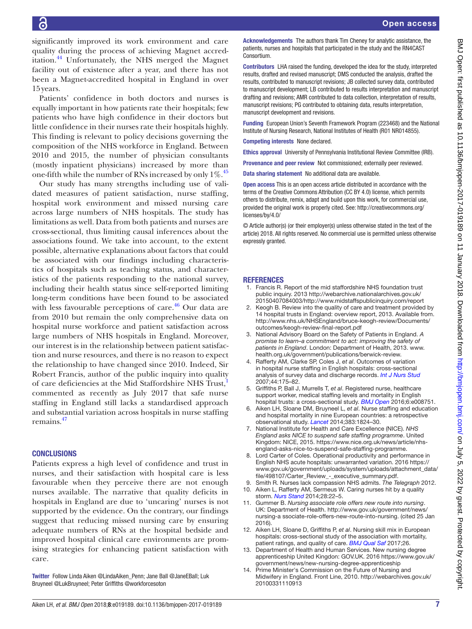BMJ Open: first published as 10.1136/bmjopen-2017-019189 on 11 January 2018. Downloaded from <http://bmjopen.bmj.com/> on July 5, 2022 by guest. Protected by copyright.

BMJ Open: first published as 10.1136/bmjopen-2017-019189 on 11 January 2018. Downloaded from http://bmjopen.bmj.com/ on July 5, 2022 by guest. Protected by copyright

significantly improved its work environment and care quality during the process of achieving Magnet accreditation[.44](#page-7-19) Unfortunately, the NHS merged the Magnet facility out of existence after a year, and there has not been a Magnet-accredited hospital in England in over 15years.

Patients' confidence in both doctors and nurses is equally important in how patients rate their hospitals; few patients who have high confidence in their doctors but little confidence in their nurses rate their hospitals highly. This finding is relevant to policy decisions governing the composition of the NHS workforce in England. Between 2010 and 2015, the number of physician consultants (mostly inpatient physicians) increased by more than one-fifth while the number of RNs increased by only  $1\%$ .<sup>45</sup>

Our study has many strengths including use of validated measures of patient satisfaction, nurse staffing, hospital work environment and missed nursing care across large numbers of NHS hospitals. The study has limitations as well. Data from both patients and nurses are cross-sectional, thus limiting causal inferences about the associations found. We take into account, to the extent possible, alternative explanations about factors that could be associated with our findings including characteristics of hospitals such as teaching status, and characteristics of the patients responding to the national survey, including their health status since self-reported limiting long-term conditions have been found to be associated with less favourable perceptions of care. $46$  Our data are from 2010 but remain the only comprehensive data on hospital nurse workforce and patient satisfaction across large numbers of NHS hospitals in England. Moreover, our interest is in the relationship between patient satisfaction and nurse resources, and there is no reason to expect the relationship to have changed since 2010. Indeed, Sir Robert Francis, author of the public inquiry into quality of care deficiencies at the Mid Staffordshire NHS Trust, commented as recently as July 2017 that safe nurse staffing in England still lacks a standardised approach and substantial variation across hospitals in nurse staffing remains.[47](#page-7-22)

# **CONCLUSIONS**

Patients express a high level of confidence and trust in nurses, and their satisfaction with hospital care is less favourable when they perceive there are not enough nurses available. The narrative that quality deficits in hospitals in England are due to 'uncaring' nurses is not supported by the evidence. On the contrary, our findings suggest that reducing missed nursing care by ensuring adequate numbers of RNs at the hospital bedside and improved hospital clinical care environments are promising strategies for enhancing patient satisfaction with care.

Twitter Follow Linda Aiken @LindaAiken\_Penn; Jane Ball @JaneEBall; Luk Bruyneel @LukBruyneel; Peter Griffiths @workforcesoton

Acknowledgements The authors thank Tim Cheney for analytic assistance, the patients, nurses and hospitals that participated in the study and the RN4CAST Consortium.

Contributors LHA raised the funding, developed the idea for the study, interpreted results, drafted and revised manuscript; DMS conducted the analysis, drafted the results, contributed to manuscript revisions; JB collected survey data, contributed to manuscript development; LB contributed to results interpretation and manuscript drafting and revisions; AMR contributed to data collection, interpretation of results, manuscript revisions; PG contributed to obtaining data, results interpretation, manuscript development and revisions.

Funding European Union's Seventh Framework Program (223468) and the National Institute of Nursing Research, National Institutes of Health (R01 NR014855).

Competing interests None declared.

Ethics approval University of Pennsylvania Institutional Review Committee (IRB).

Provenance and peer review Not commissioned; externally peer reviewed.

Data sharing statement No additional data are available.

Open access This is an open access article distributed in accordance with the terms of the Creative Commons Attribution (CC BY 4.0) license, which permits others to distribute, remix, adapt and build upon this work, for commercial use, provided the original work is properly cited. See: [http://creativecommons.org/](http://creativecommons.org/licenses/by/4.0/) [licenses/by/4.0/](http://creativecommons.org/licenses/by/4.0/)

© Article author(s) (or their employer(s) unless otherwise stated in the text of the article) 2018. All rights reserved. No commercial use is permitted unless otherwise expressly granted.

# **REFERENCES**

- <span id="page-6-0"></span>1. Francis R. Report of the mid staffordshire NHS foundation trust public inquiry. 2013 [http://webarchive.nationalarchives.gov.uk/](http://webarchive.nationalarchives.gov.uk/20150407084003/http://www.midstaffspublicinquiry.com/report) [20150407084003/http://www.midstaffspublicinquiry.com/report](http://webarchive.nationalarchives.gov.uk/20150407084003/http://www.midstaffspublicinquiry.com/report)
- 2. Keogh B. Review into the quality of care and treatment provided by 14 hospital trusts in England: overview report, 2013. Available from. [http://www.nhs.uk/NHSEngland/bruce-keogh-review/Documents/](http://www.nhs.uk/NHSEngland/bruce-keogh-review/Documents/outcomes/keogh-review-final-report.pdf) [outcomes/keogh-review-final-report.pdf](http://www.nhs.uk/NHSEngland/bruce-keogh-review/Documents/outcomes/keogh-review-final-report.pdf)
- <span id="page-6-5"></span>3. National Advisory Board on the Safety of Patients in England. *A promise to learn–a commitment to act: improving the safety of patients in England*. London: Department of Health, 2013. [www.](www.health.org.uk/government/publications/berwick-review) [health.org.uk/government/publications/berwick-review.](www.health.org.uk/government/publications/berwick-review)
- <span id="page-6-1"></span>4. Rafferty AM, Clarke SP, Coles J, *et al*. Outcomes of variation in hospital nurse staffing in English hospitals: cross-sectional analysis of survey data and discharge records. *[Int J Nurs Stud](http://dx.doi.org/10.1016/j.ijnurstu.2006.08.003)* 2007;44:175–82.
- 5. Griffiths P, Ball J, Murrells T, *et al*. Registered nurse, healthcare support worker, medical staffing levels and mortality in English hospital trusts: a cross-sectional study. *[BMJ Open](http://dx.doi.org/10.1136/bmjopen-2015-008751)* 2016;6:e008751.
- <span id="page-6-10"></span>6. Aiken LH, Sloane DM, Bruyneel L, *et al*. Nurse staffing and education and hospital mortality in nine European countries: a retrospective observational study. *[Lancet](http://dx.doi.org/10.1016/S0140-6736(13)62631-8)* 2014;383:1824–30.
- <span id="page-6-2"></span>7. National Institute for Health and Care Excellence (NICE). *NHS England asks NICE to suspend safe staffing programme*. United Kingdom: NICE, 2015. [https://www.nice.org.uk/news/article/nhs](https://www.nice.org.uk/news/article/nhs-england-asks-nice-to-suspend-safe-staffing-programme)[england-asks-nice-to-suspend-safe-staffing-programme](https://www.nice.org.uk/news/article/nhs-england-asks-nice-to-suspend-safe-staffing-programme).
- <span id="page-6-3"></span>8. Lord Carter of Coles. Operational productivity and performance in English NHS acute hospitals: unwarranted variation. 2016 [https://](https://www.gov.uk/government/uploads/system/uploads/attachment_data/file/498107/Carter_Review_-_executive_summary.pdf) [www.gov.uk/government/uploads/system/uploads/attachment\\_data/](https://www.gov.uk/government/uploads/system/uploads/attachment_data/file/498107/Carter_Review_-_executive_summary.pdf) [file/498107/Carter\\_Review\\_-\\_executive\\_summary.pdf.](https://www.gov.uk/government/uploads/system/uploads/attachment_data/file/498107/Carter_Review_-_executive_summary.pdf)
- <span id="page-6-4"></span>9. Smith R. Nurses lack compassion NHS admits. *The Telegraph* 2012. 10. Aiken L, Rafferty AM, Sermeus W. Caring nurses hit by a quality
- <span id="page-6-11"></span>storm. *[Nurs Stand](http://dx.doi.org/10.7748/ns2014.04.28.35.22.s26)* 2014;28:22–5.
- <span id="page-6-6"></span>11. Gummer B. *Nursing associate role offers new route into nursing*. UK: Department of Health. [http://www.gov.uk/government/news/](http://www.gov.uk/government/news/nursing-a ssociate-role-offers-new-route-into-nursing) [nursing-a ssociate-role-offers-new-route-into-nursing.](http://www.gov.uk/government/news/nursing-a ssociate-role-offers-new-route-into-nursing) (cited 25 Jan 2016).
- <span id="page-6-7"></span>12. Aiken LH, Sloane D, Griffiths P, *et al*. Nursing skill mix in European hospitals: cross-sectional study of the association with mortality, patient ratings, and quality of care. *[BMJ Qual Saf](http://dx.doi.org/10.1136/bmjqs-2016-005567)* 2017;26.
- <span id="page-6-8"></span>13. Department of Health and Human Services. New nursing degree apprenticeship United Kingdon: GOV.UK. 2016 [https://www.gov.uk/](https://www.gov.uk/government/news/new-nursing-degree-apprenticeship) [government/news/new-nursing-degree-apprenticeship](https://www.gov.uk/government/news/new-nursing-degree-apprenticeship)
- <span id="page-6-9"></span>14. Prime Minister's Commission on the Future of Nursing and Midwifery in England. Front Line, 2010. [http://webarchives.gov.uk/](http://webarchives.gov.uk/20100331110913) [20100331110913](http://webarchives.gov.uk/20100331110913)